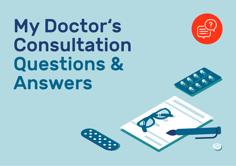My Doctor's Consultation Questions & Answers

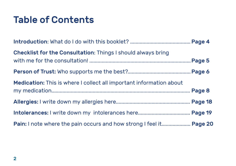# Table of Contents

| <b>Checklist for the Consultation:</b> Things I should always bring        |  |
|----------------------------------------------------------------------------|--|
|                                                                            |  |
| Medication: This is where I collect all important information about        |  |
|                                                                            |  |
|                                                                            |  |
| <b>Pain:</b> I note where the pain occurs and how strong I feel it Page 20 |  |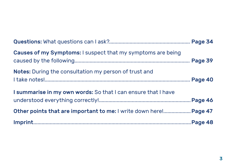| <b>Causes of my Symptoms: I suspect that my symptoms are being</b>       |         |
|--------------------------------------------------------------------------|---------|
| <b>Notes:</b> During the consultation my person of trust and             | Page 40 |
| I summarise in my own words: So that I can ensure that I have            |         |
|                                                                          |         |
| <b>Other points that are important to me:</b> I write down here! Page 47 |         |
|                                                                          |         |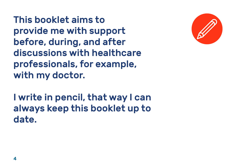This booklet aims to provide me with support before, during, and after discussions with healthcare professionals, for example, with my doctor.



I write in pencil, that way I can always keep this booklet up to date.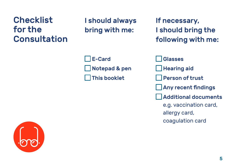## **Checklist** for the Consultation

I should always bring with me:

If necessary, I should bring the following with me:

 E-Card Notepad & pen This booklet

 Glasses **Hearing aid**  Person of trust Any recent findings Additional documents e.g. vaccination card, allergy card, coagulation card

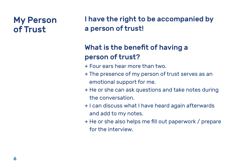# My Person of Trust

I have the right to be accompanied by a person of trust!

## What is the benefit of having a person of trust?

- + Four ears hear more than two.
- + The presence of my person of trust serves as an emotional support for me.
- + He or she can ask questions and take notes during the conversation.
- + I can discuss what I have heard again afterwards and add to my notes.
- + He or she also helps me fill out paperwork / prepare for the interview.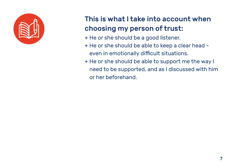

## This is what I take into account when choosing my person of trust:

- + He or she should be a good listener.
- + He or she should be able to keep a clear head even in emotionally difficult situations.
- + He or she should be able to support me the way I need to be supported, and as I discussed with him or her beforehand.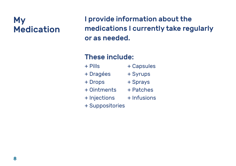## My Medication

I provide information about the medications I currently take regularly or as needed.

#### These include:

+ Pills + Capsules + Dragées + Syrups + Drops + Sprays + Ointments + Patches + Injections + Infusions + Suppositories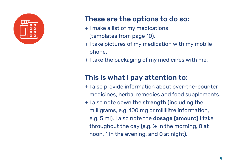

### These are the options to do so:

- + I make a list of my medications (templates from page 10).
- + I take pictures of my medication with my mobile phone.
- + I take the packaging of my medicines with me.

### This is what I pay attention to:

- + I also provide information about over-the-counter medicines, herbal remedies and food supplements.
- + I also note down the **strength** (including the milligrams, e.g. 100 mg or millilitre information, e.g. 5 ml). I also note the dosage (amount) I take throughout the day (e.g. ½ in the morning, 0 at noon, 1 in the evening, and 0 at night).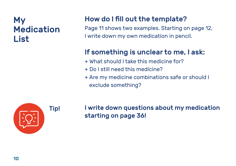## My Medication List

### How do I fill out the template?

Page 11 shows two examples. Starting on page 12, I write down my own medication in pencil.

#### If something is unclear to me, I ask:

- + What should I take this medicine for?
- + Do I still need this medicine?
- + Are my medicine combinations safe or should I exclude something?



I write down questions about my medication starting on page 36!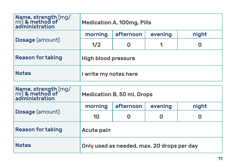| Name, strength [mg/<br>ml] & method of<br>administration | <b>Medication A, 100mg, Pills</b> |           |         |       |
|----------------------------------------------------------|-----------------------------------|-----------|---------|-------|
|                                                          | morning                           | afternoon | evening | night |
| <b>Dosage</b> (amount)                                   | 1/2                               |           |         | O     |
| <b>Reason for taking</b>                                 | <b>High blood pressure</b>        |           |         |       |
| <b>Notes</b>                                             | I write my notes here             |           |         |       |

| Name, strength [mg/<br>  ml] & method of<br>  administration | <b>Medication B, 50 ml, Drops</b>          |           |         |       |
|--------------------------------------------------------------|--------------------------------------------|-----------|---------|-------|
|                                                              | morning                                    | afternoon | evening | night |
| <b>Dosage</b> (amount)                                       | 10                                         |           | 0       | O     |
| <b>Reason for taking</b>                                     | <b>Acute pain</b>                          |           |         |       |
| <b>Notes</b>                                                 | Only used as needed, max. 20 drops per day |           |         |       |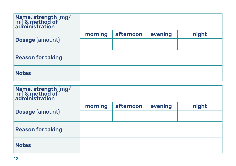| Name, strength [mg/<br>  ml] & method of<br>  administration |         |           |         |       |
|--------------------------------------------------------------|---------|-----------|---------|-------|
|                                                              | morning | afternoon | evening | night |
| <b>Dosage</b> (amount)                                       |         |           |         |       |
| <b>Reason for taking</b>                                     |         |           |         |       |
| <b>Notes</b>                                                 |         |           |         |       |

| Name, strength [mg/<br>ml] & method of<br>administration |         |           |         |       |
|----------------------------------------------------------|---------|-----------|---------|-------|
|                                                          | morning | afternoon | evening | night |
| <b>Dosage</b> (amount)                                   |         |           |         |       |
| <b>Reason for taking</b>                                 |         |           |         |       |
| <b>Notes</b>                                             |         |           |         |       |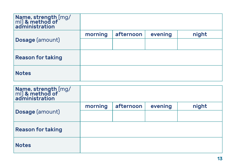| Name, strength [mg/<br>  ml] & method of<br>  administration |         |           |         |       |
|--------------------------------------------------------------|---------|-----------|---------|-------|
|                                                              | morning | afternoon | evening | night |
| Dosage (amount)                                              |         |           |         |       |
| <b>Reason for taking</b>                                     |         |           |         |       |
| <b>Notes</b>                                                 |         |           |         |       |

| Name, strength [mg/<br>ml] & method of<br>administration |         |           |         |       |
|----------------------------------------------------------|---------|-----------|---------|-------|
|                                                          | morning | afternoon | evening | night |
| <b>Dosage</b> (amount)                                   |         |           |         |       |
| <b>Reason for taking</b>                                 |         |           |         |       |
| <b>Notes</b>                                             |         |           |         |       |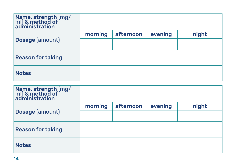| Name, strength [mg/<br>  ml] & method of<br>  administration |         |           |         |       |
|--------------------------------------------------------------|---------|-----------|---------|-------|
|                                                              | morning | afternoon | evening | night |
| <b>Dosage</b> (amount)                                       |         |           |         |       |
| <b>Reason for taking</b>                                     |         |           |         |       |
| <b>Notes</b>                                                 |         |           |         |       |

| Name, strength [mg/<br>ml] & method of<br>administration |         |           |         |       |
|----------------------------------------------------------|---------|-----------|---------|-------|
|                                                          | morning | afternoon | evening | night |
| <b>Dosage</b> (amount)                                   |         |           |         |       |
| <b>Reason for taking</b>                                 |         |           |         |       |
| <b>Notes</b>                                             |         |           |         |       |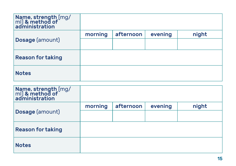| Name, strength [mg/<br>  ml] & method of<br>  administration |         |           |         |       |
|--------------------------------------------------------------|---------|-----------|---------|-------|
|                                                              | morning | afternoon | evening | night |
| Dosage (amount)                                              |         |           |         |       |
| <b>Reason for taking</b>                                     |         |           |         |       |
| <b>Notes</b>                                                 |         |           |         |       |

| Name, strength [mg/<br>ml] & method of<br>administration |         |           |         |       |
|----------------------------------------------------------|---------|-----------|---------|-------|
|                                                          | morning | afternoon | evening | night |
| <b>Dosage</b> (amount)                                   |         |           |         |       |
| <b>Reason for taking</b>                                 |         |           |         |       |
| <b>Notes</b>                                             |         |           |         |       |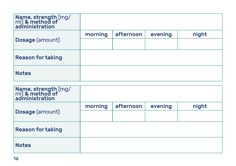| Name, strength [mg/<br>  ml] & method of<br>  administration |         |           |         |       |
|--------------------------------------------------------------|---------|-----------|---------|-------|
|                                                              | morning | afternoon | evening | night |
| <b>Dosage</b> (amount)                                       |         |           |         |       |
| <b>Reason for taking</b>                                     |         |           |         |       |
| <b>Notes</b>                                                 |         |           |         |       |

| Name, strength [mg/<br>ml] & method of<br>administration |         |           |         |       |
|----------------------------------------------------------|---------|-----------|---------|-------|
|                                                          | morning | afternoon | evening | night |
| <b>Dosage</b> (amount)                                   |         |           |         |       |
| <b>Reason for taking</b>                                 |         |           |         |       |
| <b>Notes</b>                                             |         |           |         |       |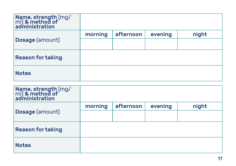| Name, strength [mg/<br>  ml] & method of<br>  administration |         |           |         |       |
|--------------------------------------------------------------|---------|-----------|---------|-------|
|                                                              | morning | afternoon | evening | night |
| <b>Dosage</b> (amount)                                       |         |           |         |       |
| <b>Reason for taking</b>                                     |         |           |         |       |
| <b>Notes</b>                                                 |         |           |         |       |

| Name, strength [mg/<br>ml] & method of<br>administration |         |           |         |       |
|----------------------------------------------------------|---------|-----------|---------|-------|
|                                                          | morning | afternoon | evening | night |
| <b>Dosage</b> (amount)                                   |         |           |         |       |
| <b>Reason for taking</b>                                 |         |           |         |       |
| <b>Notes</b>                                             |         |           |         |       |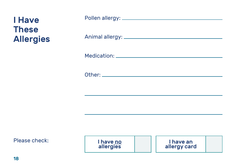| <b>I Have</b>                    |  |
|----------------------------------|--|
| <b>These</b><br><b>Allergies</b> |  |
|                                  |  |
|                                  |  |
|                                  |  |

Please check:

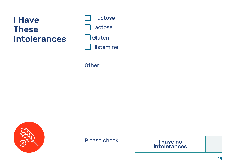# I Have **These** Intolerances

Fructose Lactose  $\Box$  Gluten Histamine

Other:



Please check:

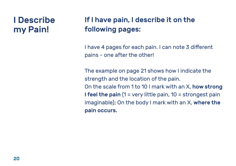# I Describe my Pain!

### If I have pain, I describe it on the following pages:

I have 4 pages for each pain. I can note 3 different pains - one after the other!

The example on page 21 shows how I indicate the strength and the location of the pain. On the scale from 1 to 10 I mark with an X, how strong **I feel the pain**  $(1 = \text{very little pain}, 10 = \text{strongest pain})$ imaginable); On the body I mark with an X, where the pain occurs.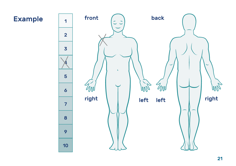### Example  $\vert$  1

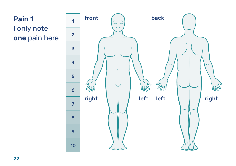## Pain 1 I only note one pain here

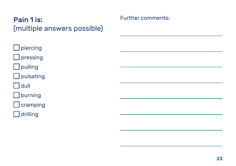### Pain 1 is: (multiple answers possible)



 $\Box$  drilling

#### Further comments: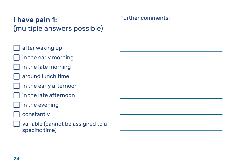### I have pain 1: (multiple answers possible)

- after waking up
- in the early morning
- in the late morning
- around lunch time
- in the early afternoon
- in the late afternoon

#### in the evening

- constantly
- variable (cannot be assigned to a specific time)

#### Further comments: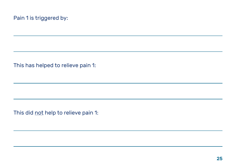#### Pain 1 is triggered by:

This has helped to relieve pain 1:

This did not help to relieve pain 1: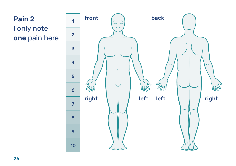## Pain 2 I only note one pain here

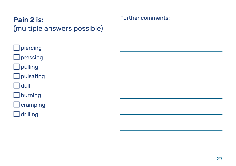### Pain 2 is: (multiple answers possible)



 $\Box$  drilling

Further comments: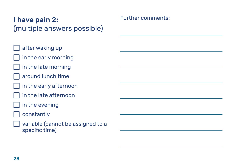### I have pain 2: (multiple answers possible)

- after waking up
- in the early morning
- in the late morning
- around lunch time
- in the early afternoon
- in the late afternoon

#### in the evening

- constantly
- variable (cannot be assigned to a specific time)

#### Further comments: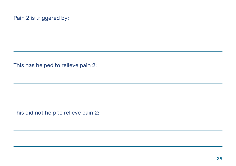#### Pain 2 is triggered by:

This has helped to relieve pain 2:

This did not help to relieve pain 2: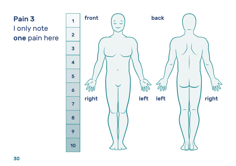## Pain 3 I only note one pain here

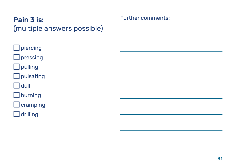### Pain 3 is: (multiple answers possible)



 $\Box$  drilling

#### Further comments: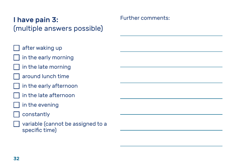### I have pain 3: (multiple answers possible)

- after waking up
- in the early morning
- in the late morning
- around lunch time
- in the early afternoon
- in the late afternoon

#### in the evening

- constantly
- variable (cannot be assigned to a specific time)

#### Further comments: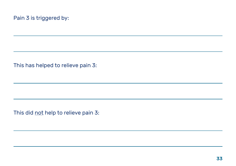#### Pain 3 is triggered by:

This has helped to relieve pain 3:

This did not help to relieve pain 3: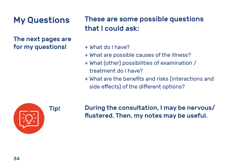

The next pages are for my questions!

These are some possible questions that I could ask:

- + What do I have?
- + What are possible causes of the illness?
- + What (other) possibilities of examination / treatment do I have?
- + What are the benefits and risks (interactions and side effects) of the different options?



During the consultation, I may be nervous/ flustered. Then, my notes may be useful.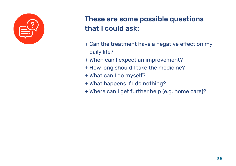

### These are some possible questions that I could ask:

- + Can the treatment have a negative effect on my daily life?
- + When can I expect an improvement?
- + How long should I take the medicine?
- + What can I do myself?
- + What happens if I do nothing?
- + Where can I get further help (e.g. home care)?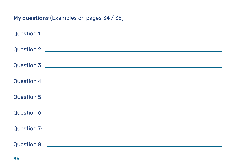#### My questions (Examples on pages 34 / 35)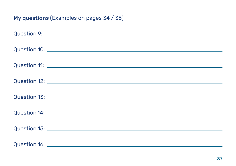#### My questions (Examples on pages 34 / 35)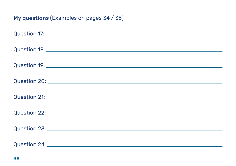#### My questions (Examples on pages 34 / 35)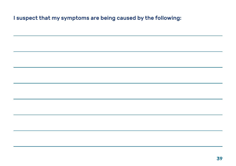#### I suspect that my symptoms are being caused by the following: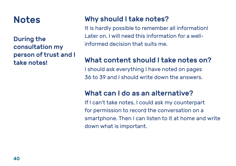# Notes

During the consultation my person of trust and I take notes!

### Why should I take notes?

It is hardly possible to remember all information! Later on, I will need this information for a wellinformed decision that suits me.

### What content should I take notes on?

I should ask everything I have noted on pages 36 to 39 and I should write down the answers.

### What can I do as an alternative?

If I can't take notes, I could ask my counterpart for permission to record the conversation on a smartphone. Then I can listen to it at home and write down what is important.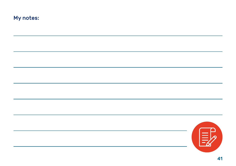| __       |
|----------|
| --<br>زم |
|          |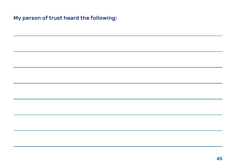#### My person of trust heard the following: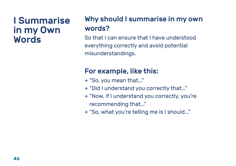# I Summarise in my Own Words

### Why should I summarise in my own words?

So that I can ensure that I have understood everything correctly and avoid potential misunderstandings.

### For example, like this:

- + "So, you mean that..."
- + "Did I understand you correctly that..."
- + "Now, if I understand you correctly, you're recommending that..."
- + "So, what you're telling me is I should..."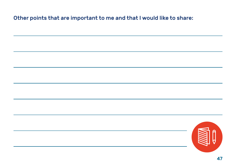#### Other points that are important to me and that I would like to share: